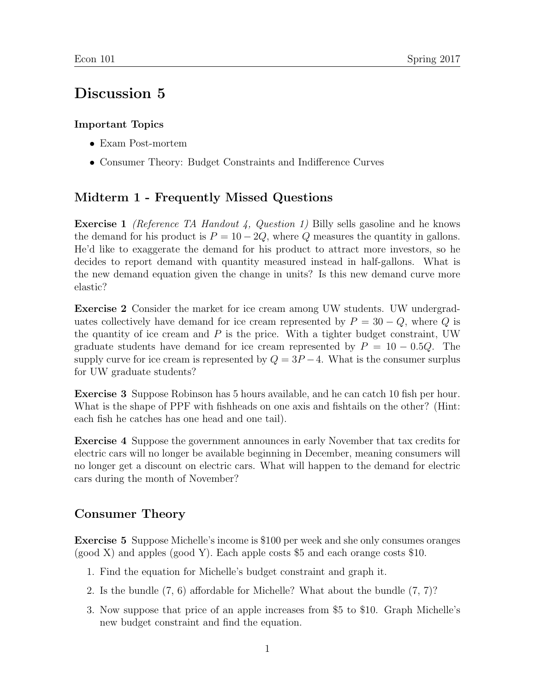## Discussion 5

## Important Topics

- Exam Post-mortem
- Consumer Theory: Budget Constraints and Indifference Curves

## Midterm 1 - Frequently Missed Questions

Exercise 1 (Reference TA Handout 4, Question 1) Billy sells gasoline and he knows the demand for his product is  $P = 10 - 2Q$ , where Q measures the quantity in gallons. He'd like to exaggerate the demand for his product to attract more investors, so he decides to report demand with quantity measured instead in half-gallons. What is the new demand equation given the change in units? Is this new demand curve more elastic?

Exercise 2 Consider the market for ice cream among UW students. UW undergraduates collectively have demand for ice cream represented by  $P = 30 - Q$ , where Q is the quantity of ice cream and  $P$  is the price. With a tighter budget constraint, UW graduate students have demand for ice cream represented by  $P = 10 - 0.5Q$ . The supply curve for ice cream is represented by  $Q = 3P - 4$ . What is the consumer surplus for UW graduate students?

Exercise 3 Suppose Robinson has 5 hours available, and he can catch 10 fish per hour. What is the shape of PPF with fishheads on one axis and fishtails on the other? (Hint: each fish he catches has one head and one tail).

Exercise 4 Suppose the government announces in early November that tax credits for electric cars will no longer be available beginning in December, meaning consumers will no longer get a discount on electric cars. What will happen to the demand for electric cars during the month of November?

## Consumer Theory

Exercise 5 Suppose Michelle's income is \$100 per week and she only consumes oranges (good X) and apples (good Y). Each apple costs \$5 and each orange costs \$10.

- 1. Find the equation for Michelle's budget constraint and graph it.
- 2. Is the bundle (7, 6) affordable for Michelle? What about the bundle (7, 7)?
- 3. Now suppose that price of an apple increases from \$5 to \$10. Graph Michelle's new budget constraint and find the equation.